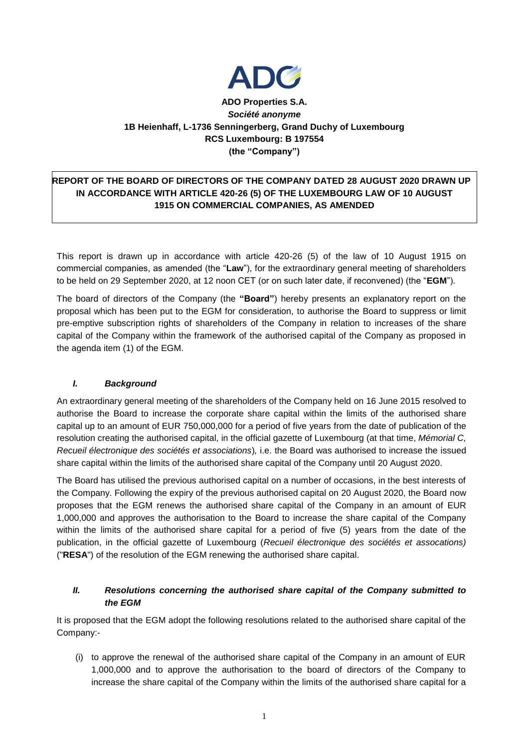

# **ADO Properties S.A.** *Société anonyme* **1B Heienhaff, L-1736 Senningerberg, Grand Duchy of Luxembourg RCS Luxembourg: B 197554 (the "Company")**

# **REPORT OF THE BOARD OF DIRECTORS OF THE COMPANY DATED 28 AUGUST 2020 DRAWN UP IN ACCORDANCE WITH ARTICLE 420-26 (5) OF THE LUXEMBOURG LAW OF 10 AUGUST 1915 ON COMMERCIAL COMPANIES, AS AMENDED**

This report is drawn up in accordance with article 420-26 (5) of the law of 10 August 1915 on commercial companies, as amended (the "**Law**"), for the extraordinary general meeting of shareholders to be held on 29 September 2020, at 12 noon CET (or on such later date, if reconvened) (the "**EGM**").

The board of directors of the Company (the **"Board"**) hereby presents an explanatory report on the proposal which has been put to the EGM for consideration, to authorise the Board to suppress or limit pre-emptive subscription rights of shareholders of the Company in relation to increases of the share capital of the Company within the framework of the authorised capital of the Company as proposed in the agenda item (1) of the EGM.

#### *I. Background*

An extraordinary general meeting of the shareholders of the Company held on 16 June 2015 resolved to authorise the Board to increase the corporate share capital within the limits of the authorised share capital up to an amount of EUR 750,000,000 for a period of five years from the date of publication of the resolution creating the authorised capital, in the official gazette of Luxembourg (at that time, *Mémorial C, Recueil électronique des sociétés et associations*)*,* i.e. the Board was authorised to increase the issued share capital within the limits of the authorised share capital of the Company until 20 August 2020.

The Board has utilised the previous authorised capital on a number of occasions, in the best interests of the Company. Following the expiry of the previous authorised capital on 20 August 2020, the Board now proposes that the EGM renews the authorised share capital of the Company in an amount of EUR 1,000,000 and approves the authorisation to the Board to increase the share capital of the Company within the limits of the authorised share capital for a period of five (5) years from the date of the publication, in the official gazette of Luxembourg (*Recueil électronique des sociétés et assocations)* ("**RESA**") of the resolution of the EGM renewing the authorised share capital.

#### *II. Resolutions concerning the authorised share capital of the Company submitted to the EGM*

It is proposed that the EGM adopt the following resolutions related to the authorised share capital of the Company:-

(i) to approve the renewal of the authorised share capital of the Company in an amount of EUR 1,000,000 and to approve the authorisation to the board of directors of the Company to increase the share capital of the Company within the limits of the authorised share capital for a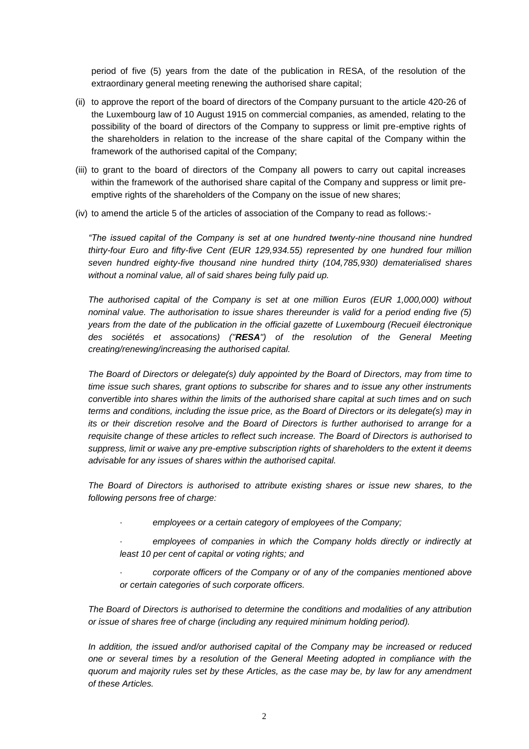period of five (5) years from the date of the publication in RESA, of the resolution of the extraordinary general meeting renewing the authorised share capital;

- (ii) to approve the report of the board of directors of the Company pursuant to the article 420-26 of the Luxembourg law of 10 August 1915 on commercial companies, as amended, relating to the possibility of the board of directors of the Company to suppress or limit pre-emptive rights of the shareholders in relation to the increase of the share capital of the Company within the framework of the authorised capital of the Company;
- (iii) to grant to the board of directors of the Company all powers to carry out capital increases within the framework of the authorised share capital of the Company and suppress or limit preemptive rights of the shareholders of the Company on the issue of new shares;
- (iv) to amend the article 5 of the articles of association of the Company to read as follows:-

*"The issued capital of the Company is set at one hundred twenty-nine thousand nine hundred thirty-four Euro and fifty-five Cent (EUR 129,934.55) represented by one hundred four million seven hundred eighty-five thousand nine hundred thirty (104,785,930) dematerialised shares without a nominal value, all of said shares being fully paid up.*

*The authorised capital of the Company is set at one million Euros (EUR 1,000,000) without nominal value. The authorisation to issue shares thereunder is valid for a period ending five (5) years from the date of the publication in the official gazette of Luxembourg (Recueil électronique des sociétés et assocations) ("RESA") of the resolution of the General Meeting creating/renewing/increasing the authorised capital.*

*The Board of Directors or delegate(s) duly appointed by the Board of Directors, may from time to time issue such shares, grant options to subscribe for shares and to issue any other instruments convertible into shares within the limits of the authorised share capital at such times and on such terms and conditions, including the issue price, as the Board of Directors or its delegate(s) may in its or their discretion resolve and the Board of Directors is further authorised to arrange for a requisite change of these articles to reflect such increase. The Board of Directors is authorised to suppress, limit or waive any pre-emptive subscription rights of shareholders to the extent it deems advisable for any issues of shares within the authorised capital.*

*The Board of Directors is authorised to attribute existing shares or issue new shares, to the following persons free of charge:*

- · *employees or a certain category of employees of the Company;*
- employees of companies in which the Company holds directly or indirectly at *least 10 per cent of capital or voting rights; and*
- corporate officers of the Company or of any of the companies mentioned above *or certain categories of such corporate officers.*

*The Board of Directors is authorised to determine the conditions and modalities of any attribution or issue of shares free of charge (including any required minimum holding period).*

*In addition, the issued and/or authorised capital of the Company may be increased or reduced one or several times by a resolution of the General Meeting adopted in compliance with the quorum and majority rules set by these Articles, as the case may be, by law for any amendment of these Articles.*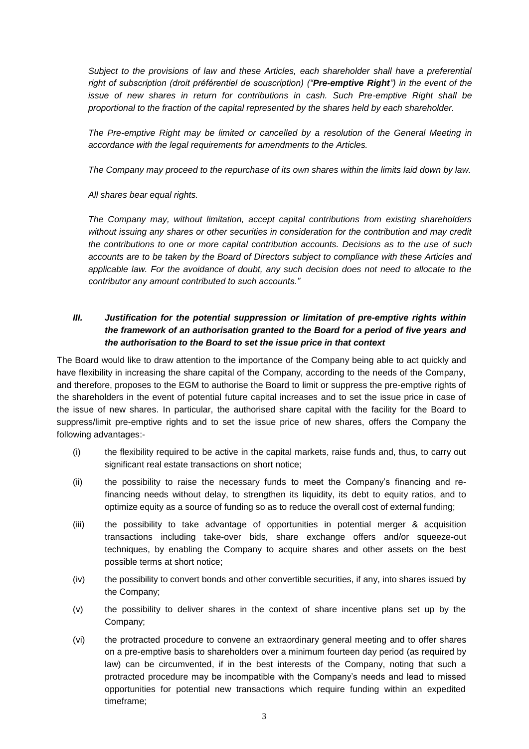*Subject to the provisions of law and these Articles, each shareholder shall have a preferential right of subscription (droit préférentiel de souscription) ("Pre-emptive Right") in the event of the issue of new shares in return for contributions in cash. Such Pre-emptive Right shall be proportional to the fraction of the capital represented by the shares held by each shareholder.*

*The Pre-emptive Right may be limited or cancelled by a resolution of the General Meeting in accordance with the legal requirements for amendments to the Articles.*

*The Company may proceed to the repurchase of its own shares within the limits laid down by law.*

*All shares bear equal rights.*

*The Company may, without limitation, accept capital contributions from existing shareholders without issuing any shares or other securities in consideration for the contribution and may credit the contributions to one or more capital contribution accounts. Decisions as to the use of such accounts are to be taken by the Board of Directors subject to compliance with these Articles and applicable law. For the avoidance of doubt, any such decision does not need to allocate to the contributor any amount contributed to such accounts."*

### *III. Justification for the potential suppression or limitation of pre-emptive rights within the framework of an authorisation granted to the Board for a period of five years and the authorisation to the Board to set the issue price in that context*

The Board would like to draw attention to the importance of the Company being able to act quickly and have flexibility in increasing the share capital of the Company, according to the needs of the Company, and therefore, proposes to the EGM to authorise the Board to limit or suppress the pre-emptive rights of the shareholders in the event of potential future capital increases and to set the issue price in case of the issue of new shares. In particular, the authorised share capital with the facility for the Board to suppress/limit pre-emptive rights and to set the issue price of new shares, offers the Company the following advantages:-

- (i) the flexibility required to be active in the capital markets, raise funds and, thus, to carry out significant real estate transactions on short notice;
- (ii) the possibility to raise the necessary funds to meet the Company's financing and refinancing needs without delay, to strengthen its liquidity, its debt to equity ratios, and to optimize equity as a source of funding so as to reduce the overall cost of external funding;
- (iii) the possibility to take advantage of opportunities in potential merger & acquisition transactions including take-over bids, share exchange offers and/or squeeze-out techniques, by enabling the Company to acquire shares and other assets on the best possible terms at short notice;
- (iv) the possibility to convert bonds and other convertible securities, if any, into shares issued by the Company;
- (v) the possibility to deliver shares in the context of share incentive plans set up by the Company;
- (vi) the protracted procedure to convene an extraordinary general meeting and to offer shares on a pre-emptive basis to shareholders over a minimum fourteen day period (as required by law) can be circumvented, if in the best interests of the Company, noting that such a protracted procedure may be incompatible with the Company's needs and lead to missed opportunities for potential new transactions which require funding within an expedited timeframe;